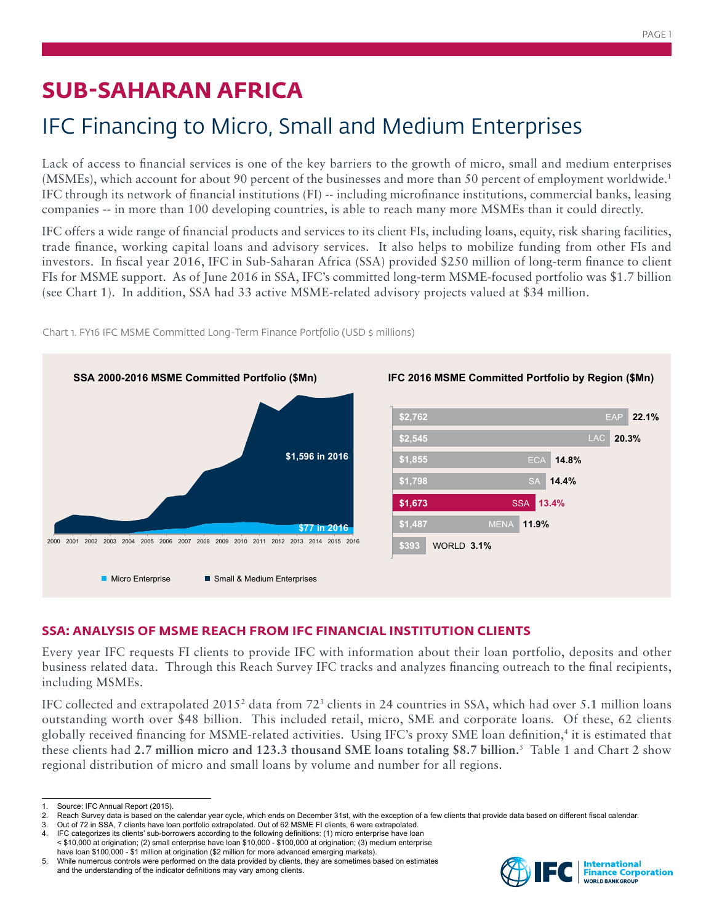# **SUB-SAHARAN AFRICA**

# IFC Financing to Micro, Small and Medium Enterprises

Lack of access to financial services is one of the key barriers to the growth of micro, small and medium enterprises (MSMEs), which account for about 90 percent of the businesses and more than 50 percent of employment worldwide.1 IFC through its network of financial institutions (FI) -- including microfinance institutions, commercial banks, leasing companies -- in more than 100 developing countries, is able to reach many more MSMEs than it could directly.

IFC offers a wide range of financial products and services to its client FIs, including loans, equity, risk sharing facilities, trade finance, working capital loans and advisory services. It also helps to mobilize funding from other FIs and investors. In fiscal year 2016, IFC in Sub-Saharan Africa (SSA) provided \$250 million of long-term finance to client FIs for MSME support. As of June 2016 in SSA, IFC's committed long-term MSME-focused portfolio was \$1.7 billion (see Chart 1). In addition, SSA had 33 active MSME-related advisory projects valued at \$34 million.



Chart 1. FY16 IFC MSME Committed Long-Term Finance Portfolio (USD \$ millions)

### **SSA: ANALYSIS OF MSME REACH FROM IFC FINANCIAL INSTITUTION CLIENTS**

Every year IFC requests FI clients to provide IFC with information about their loan portfolio, deposits and other business related data. Through this Reach Survey IFC tracks and analyzes financing outreach to the final recipients, including MSMEs.

IFC collected and extrapolated 2015<sup>2</sup> data from 72<sup>3</sup> clients in 24 countries in SSA, which had over 5.1 million loans outstanding worth over \$48 billion. This included retail, micro, SME and corporate loans. Of these, 62 clients globally received financing for MSME-related activities. Using IFC's proxy SME loan definition,4 it is estimated that these clients had **2.7 million micro and 123.3 thousand SME loans totaling \$8.7 billion.**<sup>5</sup> Table 1 and Chart 2 show regional distribution of micro and small loans by volume and number for all regions.



Source: IFC Annual Report (2015).

<sup>2.</sup> Reach Survey data is based on the calendar year cycle, which ends on December 31st, with the exception of a few clients that provide data based on different fiscal calendar.<br>3. Out of 72 in SSA, 7 clients have loan port

<sup>3.</sup> Out of 72 in SSA, 7 clients have loan portfolio extrapolated. Out of 62 MSME FI clients, 6 were extrapolated. 4. IFC categorizes its clients' sub-borrowers according to the following definitions: (1) micro enterprise have loan

<sup>&</sup>lt; \$10,000 at origination; (2) small enterprise have loan \$10,000 - \$100,000 at origination; (3) medium enterprise have loan \$100,000 - \$1 million at origination (\$2 million for more advanced emerging markets).

<sup>5.</sup> While numerous controls were performed on the data provided by clients, they are sometimes based on estimates and the understanding of the indicator definitions may vary among clients.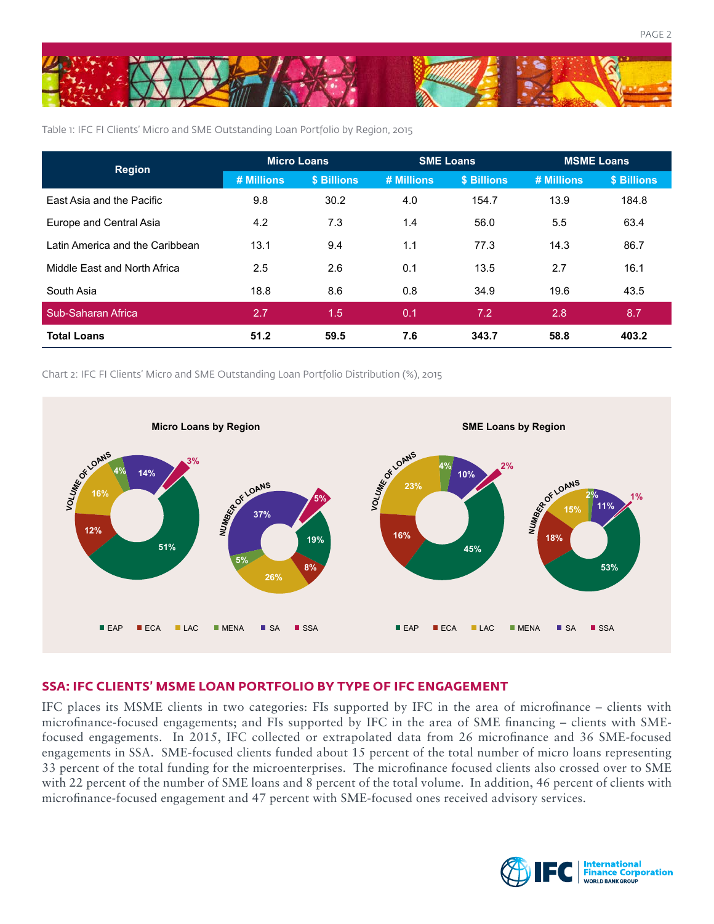

Table 1: IFC FI Clients' Micro and SME Outstanding Loan Portfolio by Region, 2015

| <b>Region</b>                   | <b>Micro Loans</b> |             | <b>SME Loans</b> |             | <b>MSME Loans</b> |             |
|---------------------------------|--------------------|-------------|------------------|-------------|-------------------|-------------|
|                                 | # Millions         | \$ Billions | # Millions       | \$ Billions | # Millions        | \$ Billions |
| East Asia and the Pacific       | 9.8                | 30.2        | 4.0              | 154.7       | 13.9              | 184.8       |
| Europe and Central Asia         | 4.2                | 7.3         | 1.4              | 56.0        | 5.5               | 63.4        |
| Latin America and the Caribbean | 13.1               | 9.4         | 1.1              | 77.3        | 14.3              | 86.7        |
| Middle East and North Africa    | 2.5                | 2.6         | 0.1              | 13.5        | 2.7               | 16.1        |
| South Asia                      | 18.8               | 8.6         | 0.8              | 34.9        | 19.6              | 43.5        |
| Sub-Saharan Africa              | 2.7                | 1.5         | 0.1              | 7.2         | 2.8               | 8.7         |
| <b>Total Loans</b>              | 51.2               | 59.5        | 7.6              | 343.7       | 58.8              | 403.2       |

Chart 2: IFC FI Clients' Micro and SME Outstanding Loan Portfolio Distribution (%), 2015



#### **SSA: IFC CLIENTS' MSME LOAN PORTFOLIO BY TYPE OF IFC ENGAGEMENT**

IFC places its MSME clients in two categories: FIs supported by IFC in the area of microfinance – clients with microfinance-focused engagements; and FIs supported by IFC in the area of SME financing – clients with SMEfocused engagements. In 2015, IFC collected or extrapolated data from 26 microfinance and 36 SME-focused engagements in SSA. SME-focused clients funded about 15 percent of the total number of micro loans representing 33 percent of the total funding for the microenterprises. The microfinance focused clients also crossed over to SME with 22 percent of the number of SME loans and 8 percent of the total volume. In addition, 46 percent of clients with microfinance-focused engagement and 47 percent with SME-focused ones received advisory services.

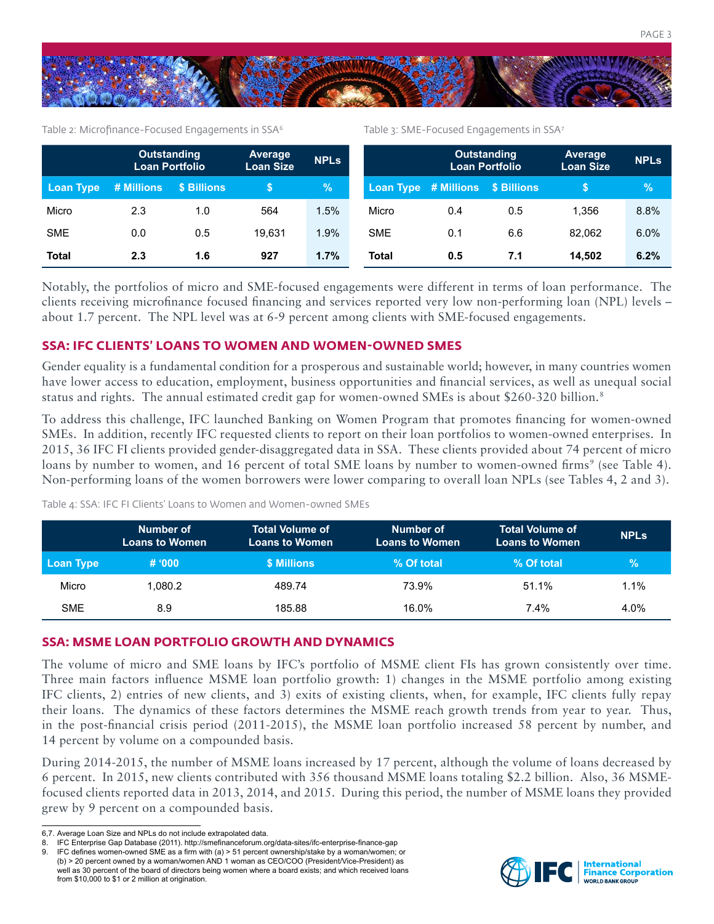

Table 2: Microfinance-Focused Engagements in SSA<sup>6</sup>

Table 3: SME-Focused Engagements in SSA7

|                  | <b>Outstanding</b><br><b>Loan Portfolio</b> |             | Average<br>Loan Size | <b>NPLs</b> |            | <b>Outstanding</b><br><b>Loan Portfolio</b> |                    | <b>Average</b><br><b>Loan Size</b> | <b>NPLs</b> |
|------------------|---------------------------------------------|-------------|----------------------|-------------|------------|---------------------------------------------|--------------------|------------------------------------|-------------|
| <b>Loan Type</b> | # Millions                                  | \$ Billions |                      | $\%$        |            | Loan Type # Millions                        | <b>\$ Billions</b> |                                    | %           |
| Micro            | 2.3                                         | 1.0         | 564                  | 1.5%        | Micro      | 0.4                                         | 0.5                | 1.356                              | 8.8%        |
| <b>SME</b>       | 0.0                                         | 0.5         | 19.631               | 1.9%        | <b>SME</b> | 0.1                                         | 6.6                | 82.062                             | 6.0%        |
| <b>Total</b>     | 2.3                                         | 1.6         | 927                  | 1.7%        | Total      | 0.5                                         | 7.1                | 14.502                             | 6.2%        |

Notably, the portfolios of micro and SME-focused engagements were different in terms of loan performance. The clients receiving microfinance focused financing and services reported very low non-performing loan (NPL) levels – about 1.7 percent. The NPL level was at 6-9 percent among clients with SME-focused engagements.

#### **SSA: IFC CLIENTS' LOANS TO WOMEN AND WOMEN-OWNED SMES**

Gender equality is a fundamental condition for a prosperous and sustainable world; however, in many countries women have lower access to education, employment, business opportunities and financial services, as well as unequal social status and rights. The annual estimated credit gap for women-owned SMEs is about \$260-320 billion.<sup>8</sup>

To address this challenge, IFC launched Banking on Women Program that promotes financing for women-owned SMEs. In addition, recently IFC requested clients to report on their loan portfolios to women-owned enterprises. In 2015, 36 IFC FI clients provided gender-disaggregated data in SSA. These clients provided about 74 percent of micro loans by number to women, and 16 percent of total SME loans by number to women-owned firms<sup>9</sup> (see Table 4). Non-performing loans of the women borrowers were lower comparing to overall loan NPLs (see Tables 4, 2 and 3).

Table 4: SSA: IFC FI Clients' Loans to Women and Women-owned SMEs

|            | Number of<br><b>Loans to Women</b> | <b>Total Volume of</b><br><b>Loans to Women</b> | Number of<br><b>Loans to Women</b> | <b>Total Volume of</b><br><b>Loans to Women</b> | <b>NPLS</b> |
|------------|------------------------------------|-------------------------------------------------|------------------------------------|-------------------------------------------------|-------------|
| Loan Type  | # 000                              | \$ Millions                                     | % Of total                         | % Of total                                      | $\%$        |
| Micro      | 1.080.2                            | 489.74                                          | 73.9%                              | 51.1%                                           | 1.1%        |
| <b>SME</b> | 8.9                                | 185.88                                          | 16.0%                              | 7.4%                                            | 4.0%        |

#### **SSA: MSME LOAN PORTFOLIO GROWTH AND DYNAMICS**

The volume of micro and SME loans by IFC's portfolio of MSME client FIs has grown consistently over time. Three main factors influence MSME loan portfolio growth: 1) changes in the MSME portfolio among existing IFC clients, 2) entries of new clients, and 3) exits of existing clients, when, for example, IFC clients fully repay their loans. The dynamics of these factors determines the MSME reach growth trends from year to year. Thus, in the post-financial crisis period (2011-2015), the MSME loan portfolio increased 58 percent by number, and 14 percent by volume on a compounded basis.

During 2014-2015, the number of MSME loans increased by 17 percent, although the volume of loans decreased by 6 percent. In 2015, new clients contributed with 356 thousand MSME loans totaling \$2.2 billion. Also, 36 MSMEfocused clients reported data in 2013, 2014, and 2015. During this period, the number of MSME loans they provided grew by 9 percent on a compounded basis.



<sup>6,7.</sup> Average Loan Size and NPLs do not include extrapolated data.

<sup>8.</sup> IFC Enterprise Gap Database (2011). http://smefinanceforum.org/data-sites/ifc-enterprise-finance-gap

<sup>9.</sup> IFC defines women-owned SME as a firm with (a) > 51 percent ownership/stake by a woman/women; or (b) > 20 percent owned by a woman/women AND 1 woman as CEO/COO (President/Vice-President) as well as 30 percent of the board of directors being women where a board exists; and which received loans from \$10,000 to \$1 or 2 million at origination.